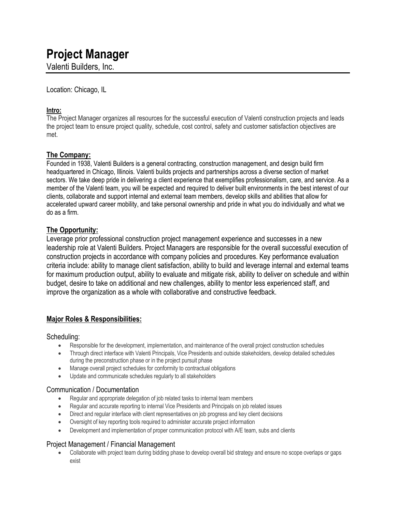# **Project Manager**

Valenti Builders, Inc.

Location: Chicago, IL

## **Intro:**

The Project Manager organizes all resources for the successful execution of Valenti construction projects and leads the project team to ensure project quality, schedule, cost control, safety and customer satisfaction objectives are met.

## **The Company:**

Founded in 1938, Valenti Builders is a general contracting, construction management, and design build firm headquartered in Chicago, Illinois. Valenti builds projects and partnerships across a diverse section of market sectors. We take deep pride in delivering a client experience that exemplifies professionalism, care, and service. As a member of the Valenti team, you will be expected and required to deliver built environments in the best interest of our clients, collaborate and support internal and external team members, develop skills and abilities that allow for accelerated upward career mobility, and take personal ownership and pride in what you do individually and what we do as a firm.

## **The Opportunity:**

Leverage prior professional construction project management experience and successes in a new leadership role at Valenti Builders. Project Managers are responsible for the overall successful execution of construction projects in accordance with company policies and procedures. Key performance evaluation criteria include: ability to manage client satisfaction, ability to build and leverage internal and external teams for maximum production output, ability to evaluate and mitigate risk, ability to deliver on schedule and within budget, desire to take on additional and new challenges, ability to mentor less experienced staff, and improve the organization as a whole with collaborative and constructive feedback.

## **Major Roles & Responsibilities:**

## Scheduling:

- Responsible for the development, implementation, and maintenance of the overall project construction schedules
- Through direct interface with Valenti Principals, Vice Presidents and outside stakeholders, develop detailed schedules during the preconstruction phase or in the project pursuit phase
- Manage overall project schedules for conformity to contractual obligations
- Update and communicate schedules regularly to all stakeholders

## Communication / Documentation

- Regular and appropriate delegation of job related tasks to internal team members
- Regular and accurate reporting to internal Vice Presidents and Principals on job related issues
- Direct and regular interface with client representatives on job progress and key client decisions
- Oversight of key reporting tools required to administer accurate project information
- Development and implementation of proper communication protocol with A/E team, subs and clients

## Project Management / Financial Management

• Collaborate with project team during bidding phase to develop overall bid strategy and ensure no scope overlaps or gaps exist